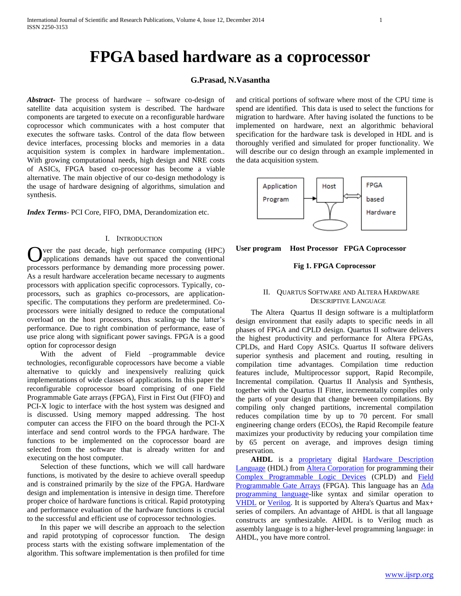# **FPGA based hardware as a coprocessor**

#### **G.Prasad, N.Vasantha**

*Abstract***-** The process of hardware – software co-design of satellite data acquisition system is described. The hardware components are targeted to execute on a reconfigurable hardware coprocessor which communicates with a host computer that executes the software tasks. Control of the data flow between device interfaces, processing blocks and memories in a data acquisition system is complex in hardware implementation.. With growing computational needs, high design and NRE costs of ASICs, FPGA based co-processor has become a viable alternative. The main objective of our co-design methodology is the usage of hardware designing of algorithms, simulation and synthesis.

*Index Terms*- PCI Core, FIFO, DMA, Derandomization etc.

#### I. INTRODUCTION

ver the past decade, high performance computing (HPC) applications demands have out spaced the conventional Over the past decade, high performance computing (HPC) applications demands have out spaced the conventional processors performance by demanding more processing power. As a result hardware acceleration became necessary to augments processors with application specific coprocessors. Typically, coprocessors, such as graphics co-processors, are applicationspecific. The computations they perform are predetermined. Coprocessors were initially designed to reduce the computational overload on the host processors, thus scaling-up the latter's performance. Due to right combination of performance, ease of use price along with significant power savings. FPGA is a good option for coprocessor design

With the advent of Field –programmable device technologies, reconfigurable coprocessors have become a viable alternative to quickly and inexpensively realizing quick implementations of wide classes of applications. In this paper the reconfigurable coprocessor board comprising of one Field Programmable Gate arrays (FPGA), First in First Out (FIFO) and PCI-X logic to interface with the host system was designed and is discussed. Using memory mapped addressing. The host computer can access the FIFO on the board through the PCI-X interface and send control words to the FPGA hardware. The functions to be implemented on the coprocessor board are selected from the software that is already written for and executing on the host computer.

 Selection of these functions, which we will call hardware functions, is motivated by the desire to achieve overall speedup and is constrained primarily by the size of the FPGA. Hardware design and implementation is intensive in design time. Therefore proper choice of hardware functions is critical. Rapid prototyping and performance evaluation of the hardware functions is crucial to the successful and efficient use of coprocessor technologies.

 In this paper we will describe an approach to the selection and rapid prototyping of coprocessor function. The design process starts with the existing software implementation of the algorithm. This software implementation is then profiled for time

and critical portions of software where most of the CPU time is spend are identified. This data is used to select the functions for migration to hardware. After having isolated the functions to be implemented on hardware, next an algorithmic behavioral specification for the hardware task is developed in HDL and is thoroughly verified and simulated for proper functionality. We will describe our co design through an example implemented in the data acquisition system.



#### **User program Host Processor FPGA Coprocessor**

#### **Fig 1. FPGA Coprocessor**

#### II. QUARTUS SOFTWARE AND ALTERA HARDWARE DESCRIPTIVE LANGUAGE

 The Altera Quartus II design software is a multiplatform design environment that easily adapts to specific needs in all phases of FPGA and CPLD design. Quartus II software delivers the highest productivity and performance for Altera FPGAs, CPLDs, and Hard Copy ASICs. Quartus II software delivers superior synthesis and placement and routing, resulting in compilation time advantages. Compilation time reduction features include, Multiprocessor support, Rapid Recompile, Incremental compilation. Quartus II Analysis and Synthesis, together with the Quartus II Fitter, incrementally compiles only the parts of your design that change between compilations. By compiling only changed partitions, incremental compilation reduces compilation time by up to 70 percent. For small engineering change orders (ECOs), the Rapid Recompile feature maximizes your productivity by reducing your compilation time by 65 percent on average, and improves design timing preservation.

AHDL is a **[proprietary](http://en.wikipedia.org/wiki/Proprietary_software)** digital **Hardware Description** [Language](http://en.wikipedia.org/wiki/Hardware_Description_Language) (HDL) from [Altera Corporation](http://en.wikipedia.org/wiki/Altera_Corporation) for programming their [Complex Programmable Logic Devices](http://en.wikipedia.org/wiki/Complex_Programmable_Logic_Device) (CPLD) and [Field](http://en.wikipedia.org/wiki/Field_Programmable_Gate_Array)  [Programmable Gate Arrays](http://en.wikipedia.org/wiki/Field_Programmable_Gate_Array) (FPGA). This language has an Ada [programming language-](http://en.wikipedia.org/wiki/Ada_programming_language)like syntax and similar operation to [VHDL](http://en.wikipedia.org/wiki/VHDL) or [Verilog.](http://en.wikipedia.org/wiki/Verilog) It is supported by Altera's Quartus and Max+ series of compilers. An advantage of AHDL is that all language constructs are synthesizable. AHDL is to Verilog much as assembly language is to a higher-level programming language: in AHDL, you have more control.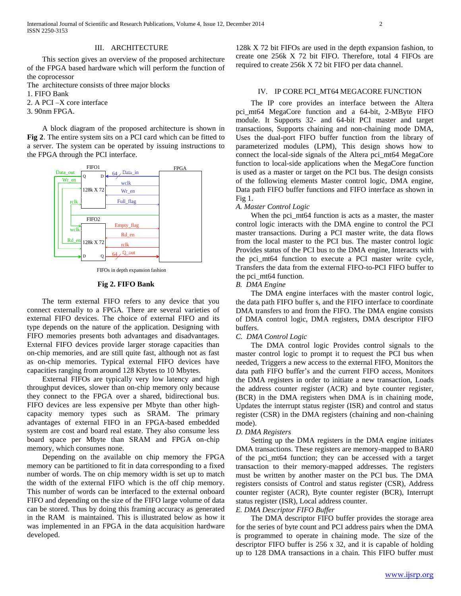#### III. ARCHITECTURE

 This section gives an overview of the proposed architecture of the FPGA based hardware which will perform the function of the coprocessor

The architecture consists of three major blocks

1. FIFO Bank

2. A PCI –X core interface

3. 90nm FPGA.

 A block diagram of the proposed architecture is shown in **Fig 2**. The entire system sits on a PCI card which can be fitted to a server. The system can be operated by issuing instructions to the FPGA through the PCI interface.



FIFOs in depth expansion fashion

#### **Fig 2. FIFO Bank**

 The term external FIFO refers to any device that you connect externally to a FPGA. There are several varieties of external FIFO devices. The choice of external FIFO and its type depends on the nature of the application. Designing with FIFO memories presents both advantages and disadvantages. External FIFO devices provide larger storage capacities than on-chip memories, and are still quite fast, although not as fast as on-chip memories. Typical external FIFO devices have capacities ranging from around 128 Kbytes to 10 Mbytes.

 External FIFOs are typically very low latency and high throughput devices, slower than on-chip memory only because they connect to the FPGA over a shared, bidirectional bus. FIFO devices are less expensive per Mbyte than other highcapacity memory types such as SRAM. The primary advantages of external FIFO in an FPGA-based embedded system are cost and board real estate. They also consume less board space per Mbyte than SRAM and FPGA on-chip memory, which consumes none.

 Depending on the available on chip memory the FPGA memory can be partitioned to fit in data corresponding to a fixed number of words. The on chip memory width is set up to match the width of the external FIFO which is the off chip memory. This number of words can be interfaced to the external onboard FIFO and depending on the size of the FIFO large volume of data can be stored. Thus by doing this framing accuracy as generated in the RAM is maintained. This is illustrated below as how it was implemented in an FPGA in the data acquisition hardware developed.

## IV. IP CORE PCI\_MT64 MEGACORE FUNCTION

128k X 72 bit FIFOs are used in the depth expansion fashion, to create one 256k X 72 bit FIFO. Therefore, total 4 FIFOs are

required to create 256k X 72 bit FIFO per data channel.

 The IP core provides an interface between the Altera pci\_mt64 MegaCore function and a 64-bit, 2-MByte FIFO module. It Supports 32- and 64-bit PCI master and target transactions, Supports chaining and non-chaining mode DMA, Uses the dual-port FIFO buffer function from the library of parameterized modules (LPM), This design shows how to connect the local-side signals of the Altera pci\_mt64 MegaCore function to local-side applications when the MegaCore function is used as a master or target on the PCI bus. The design consists of the following elements Master control logic, DMA engine, Data path FIFO buffer functions and FIFO interface as shown in Fig 1.

#### *A. Master Control Logic*

When the pci\_mt64 function is acts as a master, the master control logic interacts with the DMA engine to control the PCI master transactions. During a PCI master write, the data flows from the local master to the PCI bus. The master control logic Provides status of the PCI bus to the DMA engine, Interacts with the pci\_mt64 function to execute a PCI master write cycle, Transfers the data from the external FIFO-to-PCI FIFO buffer to the pci\_mt64 function.

#### *B. DMA Engine*

 The DMA engine interfaces with the master control logic, the data path FIFO buffer s, and the FIFO interface to coordinate DMA transfers to and from the FIFO. The DMA engine consists of DMA control logic, DMA registers, DMA descriptor FIFO buffers.

#### *C. DMA Control Logic*

 The DMA control logic Provides control signals to the master control logic to prompt it to request the PCI bus when needed, Triggers a new access to the external FIFO, Monitors the data path FIFO buffer's and the current FIFO access, Monitors the DMA registers in order to initiate a new transaction, Loads the address counter register (ACR) and byte counter register, (BCR) in the DMA registers when DMA is in chaining mode, Updates the interrupt status register (ISR) and control and status register (CSR) in the DMA registers (chaining and non-chaining mode).

#### *D. DMA Registers*

 Setting up the DMA registers in the DMA engine initiates DMA transactions. These registers are memory-mapped to BAR0 of the pci\_mt64 function; they can be accessed with a target transaction to their memory-mapped addresses. The registers must be written by another master on the PCI bus. The DMA registers consists of Control and status register (CSR), Address counter register (ACR), Byte counter register (BCR), Interrupt status register (ISR), Local address counter.

#### *E. DMA Descriptor FIFO Buffer*

 The DMA descriptor FIFO buffer provides the storage area for the series of byte count and PCI address pairs when the DMA is programmed to operate in chaining mode. The size of the descriptor FIFO buffer is 256 x 32, and it is capable of holding up to 128 DMA transactions in a chain. This FIFO buffer must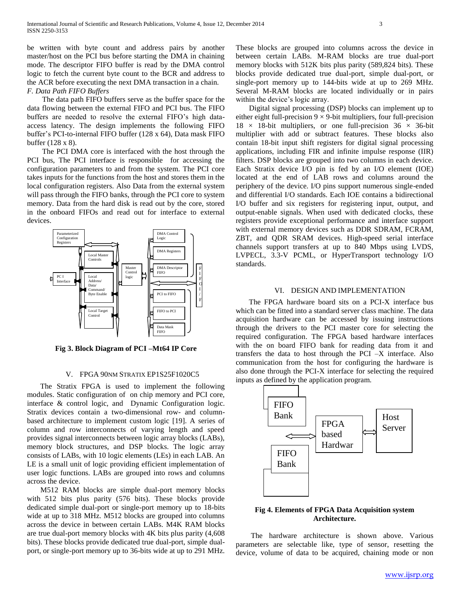be written with byte count and address pairs by another master/host on the PCI bus before starting the DMA in chaining mode. The descriptor FIFO buffer is read by the DMA control logic to fetch the current byte count to the BCR and address to the ACR before executing the next DMA transaction in a chain. *F. Data Path FIFO Buffers*

 The data path FIFO buffers serve as the buffer space for the data flowing between the external FIFO and PCI bus. The FIFO buffers are needed to resolve the external FIFO's high dataaccess latency. The design implements the following FIFO buffer's PCI-to-internal FIFO buffer (128 x 64), Data mask FIFO buffer (128 x 8).

 The PCI DMA core is interfaced with the host through the PCI bus, The PCI interface is responsible for accessing the configuration parameters to and from the system. The PCI core takes inputs for the functions from the host and stores them in the local configuration registers. Also Data from the external system will pass through the FIFO banks, through the PCI core to system memory. Data from the hard disk is read out by the core, stored in the onboard FIFOs and read out for interface to external devices.



**Fig 3. Block Diagram of PCI –Mt64 IP Core**

#### V. FPGA 90NM STRATIX EP1S25F1020C5

 The Stratix FPGA is used to implement the following modules. Static configuration of on chip memory and PCI core, interface & control logic, and Dynamic Configuration logic. Stratix devices contain a two-dimensional row- and columnbased architecture to implement custom logic [19]. A series of column and row interconnects of varying length and speed provides signal interconnects between logic array blocks (LABs), memory block structures, and DSP blocks. The logic array consists of LABs, with 10 logic elements (LEs) in each LAB. An LE is a small unit of logic providing efficient implementation of user logic functions. LABs are grouped into rows and columns across the device.

 M512 RAM blocks are simple dual-port memory blocks with 512 bits plus parity (576 bits). These blocks provide dedicated simple dual-port or single-port memory up to 18-bits wide at up to 318 MHz. M512 blocks are grouped into columns across the device in between certain LABs. M4K RAM blocks are true dual-port memory blocks with 4K bits plus parity (4,608 bits). These blocks provide dedicated true dual-port, simple dualport, or single-port memory up to 36-bits wide at up to 291 MHz. These blocks are grouped into columns across the device in between certain LABs. M-RAM blocks are true dual-port memory blocks with 512K bits plus parity (589,824 bits). These blocks provide dedicated true dual-port, simple dual-port, or single-port memory up to 144-bits wide at up to 269 MHz. Several M-RAM blocks are located individually or in pairs within the device's logic array.

 Digital signal processing (DSP) blocks can implement up to either eight full-precision  $9 \times 9$ -bit multipliers, four full-precision 18  $\times$  18-bit multipliers, or one full-precision 36  $\times$  36-bit multiplier with add or subtract features. These blocks also contain 18-bit input shift registers for digital signal processing applications, including FIR and infinite impulse response (IIR) filters. DSP blocks are grouped into two columns in each device. Each Stratix device I/O pin is fed by an I/O element (IOE) located at the end of LAB rows and columns around the periphery of the device. I/O pins support numerous single-ended and differential I/O standards. Each IOE contains a bidirectional I/O buffer and six registers for registering input, output, and output-enable signals. When used with dedicated clocks, these registers provide exceptional performance and interface support with external memory devices such as DDR SDRAM, FCRAM, ZBT, and QDR SRAM devices. High-speed serial interface channels support transfers at up to 840 Mbps using LVDS, LVPECL, 3.3-V PCML, or HyperTransport technology I/O standards.

#### VI. DESIGN AND IMPLEMENTATION

 The FPGA hardware board sits on a PCI-X interface bus which can be fitted into a standard server class machine. The data acquisition hardware can be accessed by issuing instructions through the drivers to the PCI master core for selecting the required configuration. The FPGA based hardware interfaces with the on board FIFO bank for reading data from it and transfers the data to host through the PCI –X interface. Also communication from the host for configuring the hardware is also done through the PCI-X interface for selecting the required inputs as defined by the application program.



#### **Fig 4. Elements of FPGA Data Acquisition system Architecture.**

 The hardware architecture is shown above. Various parameters are selectable like, type of sensor, resetting the device, volume of data to be acquired, chaining mode or non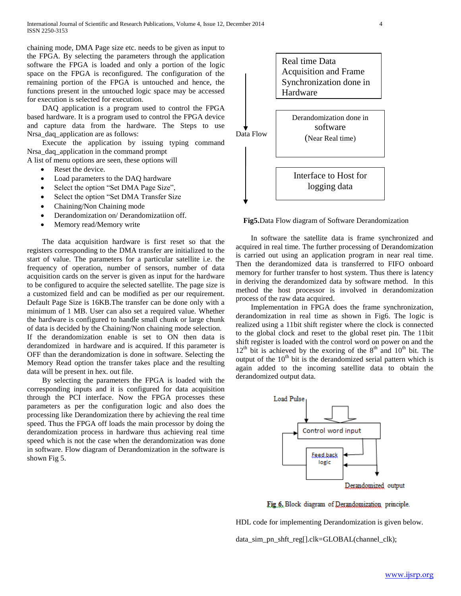chaining mode, DMA Page size etc. needs to be given as input to the FPGA. By selecting the parameters through the application software the FPGA is loaded and only a portion of the logic space on the FPGA is reconfigured. The configuration of the remaining portion of the FPGA is untouched and hence, the functions present in the untouched logic space may be accessed for execution is selected for execution.

 DAQ application is a program used to control the FPGA based hardware. It is a program used to control the FPGA device and capture data from the hardware. The Steps to use Nrsa daq application are as follows:

 Execute the application by issuing typing command Nrsa\_daq\_application in the command prompt

A list of menu options are seen, these options will

- Reset the device.
- Load parameters to the DAQ hardware
- Select the option "Set DMA Page Size",
- Select the option "Set DMA Transfer Size
- Chaining/Non Chaining mode
- Derandomization on/ Derandomizatiion off.
- Memory read/Memory write

 The data acquisition hardware is first reset so that the registers corresponding to the DMA transfer are initialized to the start of value. The parameters for a particular satellite i.e. the frequency of operation, number of sensors, number of data acquisition cards on the server is given as input for the hardware to be configured to acquire the selected satellite. The page size is a customized field and can be modified as per our requirement. Default Page Size is 16KB.The transfer can be done only with a minimum of 1 MB. User can also set a required value. Whether the hardware is configured to handle small chunk or large chunk of data is decided by the Chaining/Non chaining mode selection. If the derandomization enable is set to ON then data is derandomized in hardware and is acquired. If this parameter is OFF than the derandomization is done in software. Selecting the Memory Read option the transfer takes place and the resulting data will be present in hex. out file.

 By selecting the parameters the FPGA is loaded with the corresponding inputs and it is configured for data acquisition through the PCI interface. Now the FPGA processes these parameters as per the configuration logic and also does the processing like Derandomization there by achieving the real time speed. Thus the FPGA off loads the main processor by doing the derandomization process in hardware thus achieving real time speed which is not the case when the derandomization was done in software. Flow diagram of Derandomization in the software is shown Fig 5.



**Fig5.**Data Flow diagram of Software Derandomization

 In software the satellite data is frame synchronized and acquired in real time. The further processing of Derandomization is carried out using an application program in near real time. Then the derandomized data is transferred to FIFO onboard memory for further transfer to host system. Thus there is latency in deriving the derandomized data by software method. In this method the host processor is involved in derandomization process of the raw data acquired.

 Implementation in FPGA does the frame synchronization, derandomization in real time as shown in Fig6. The logic is realized using a 11bit shift register where the clock is connected to the global clock and reset to the global reset pin. The 11bit shift register is loaded with the control word on power on and the  $12<sup>th</sup>$  bit is achieved by the exoring of the  $8<sup>th</sup>$  and  $10<sup>th</sup>$  bit. The output of the  $10<sup>th</sup>$  bit is the derandomized serial pattern which is again added to the incoming satellite data to obtain the derandomized output data.



Fig.6, Block diagram of Derandomization principle.

HDL code for implementing Derandomization is given below.

data\_sim\_pn\_shft\_reg[].clk=GLOBAL(channel\_clk);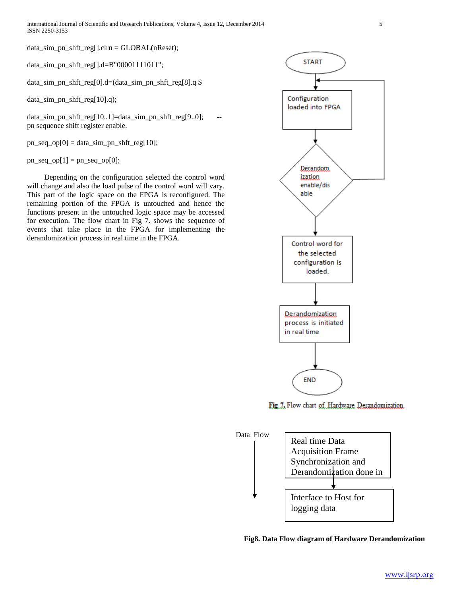data\_sim\_pn\_shft\_reg[].clrn = GLOBAL(nReset);

data\_sim\_pn\_shft\_reg[].d=B"00001111011";

data\_sim\_pn\_shft\_reg[0].d=(data\_sim\_pn\_shft\_reg[8].q \$

data\_sim\_pn\_shft\_reg[10].q);

data\_sim\_pn\_shft\_reg[10..1]=data\_sim\_pn\_shft\_reg[9..0]; pn sequence shift register enable.

 $pn\_seq\_op[0] = data\_sim\_pn\_shft\_reg[10];$ 

 $pn\_seq\_op[1] = pn\_seq\_op[0];$ 

 Depending on the configuration selected the control word will change and also the load pulse of the control word will vary. This part of the logic space on the FPGA is reconfigured. The remaining portion of the FPGA is untouched and hence the functions present in the untouched logic space may be accessed for execution. The flow chart in Fig 7. shows the sequence of events that take place in the FPGA for implementing the derandomization process in real time in the FPGA.